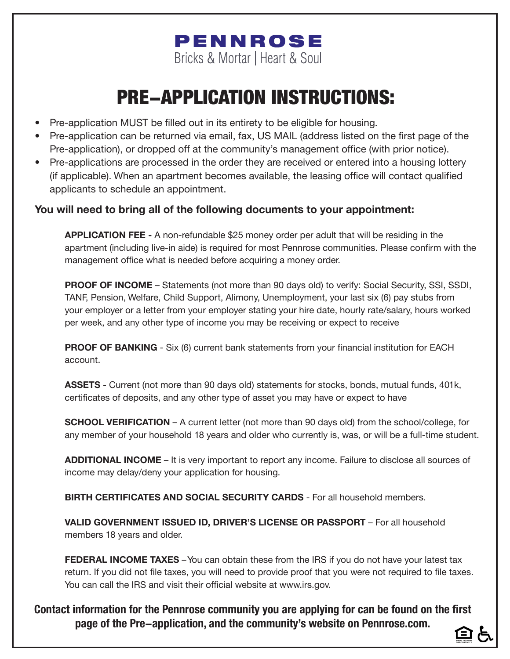# PENNROSE Bricks & Mortar | Heart & Soul

# PRE-APPLICATION INSTRUCTIONS:

- Pre-application MUST be filled out in its entirety to be eligible for housing.
- Pre-application can be returned via email, fax, US MAIL (address listed on the first page of the Pre-application), or dropped off at the community's management office (with prior notice).
- Pre-applications are processed in the order they are received or entered into a housing lottery (if applicable). When an apartment becomes available, the leasing office will contact qualified applicants to schedule an appointment.

# **You will need to bring all of the following documents to your appointment:**

**APPLICATION FEE -** A non-refundable \$25 money order per adult that will be residing in the apartment (including live-in aide) is required for most Pennrose communities. Please confirm with the management office what is needed before acquiring a money order.

**PROOF OF INCOME** – Statements (not more than 90 days old) to verify: Social Security, SSI, SSDI, TANF, Pension, Welfare, Child Support, Alimony, Unemployment, your last six (6) pay stubs from your employer or a letter from your employer stating your hire date, hourly rate/salary, hours worked per week, and any other type of income you may be receiving or expect to receive

**PROOF OF BANKING** - Six (6) current bank statements from your financial institution for EACH account.

**ASSETS** - Current (not more than 90 days old) statements for stocks, bonds, mutual funds, 401k, certificates of deposits, and any other type of asset you may have or expect to have

**SCHOOL VERIFICATION** – A current letter (not more than 90 days old) from the school/college, for any member of your household 18 years and older who currently is, was, or will be a full-time student.

**ADDITIONAL INCOME** – It is very important to report any income. Failure to disclose all sources of income may delay/deny your application for housing.

**BIRTH CERTIFICATES AND SOCIAL SECURITY CARDS** - For all household members.

**VALID GOVERNMENT ISSUED ID, DRIVER'S LICENSE OR PASSPORT** – For all household members 18 years and older.

**FEDERAL INCOME TAXES** – You can obtain these from the IRS if you do not have your latest tax return. If you did not file taxes, you will need to provide proof that you were not required to file taxes. You can call the IRS and visit their official website at www.irs.gov.

**Contact information for the Pennrose community you are applying for can be found on the first page of the Pre-application, and the community's website on Pennrose.com.**

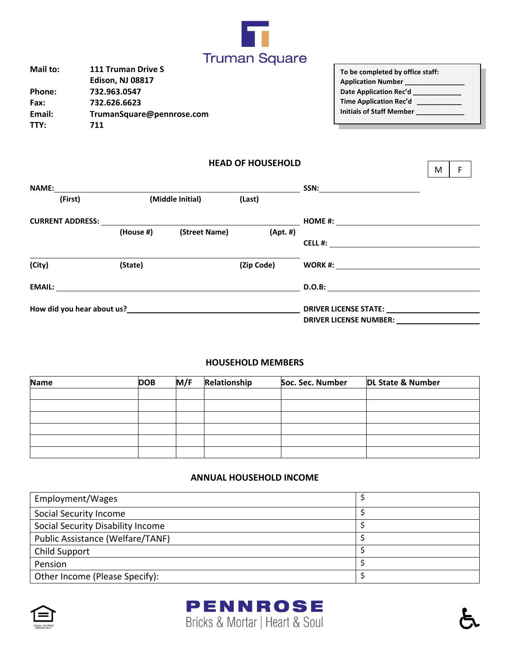

| Mail to: | <b>111 Truman Drive S</b> |
|----------|---------------------------|
|          | <b>Edison, NJ 08817</b>   |
| Phone:   | 732.963.0547              |
| Fax:     | 732.626.6623              |
| Email:   | TrumanSquare@pennrose.com |
| TTY:     | 711                       |
|          |                           |

| To be completed by office staff: |  |
|----------------------------------|--|
| <b>Application Number</b>        |  |
| Date Application Rec'd           |  |
| Time Application Rec'd ___       |  |
| Initials of Staff Member         |  |
|                                  |  |

 $M \mid F$ 

### **HEAD OF HOUSEHOLD**

| <b>NAME:</b>               |                  |               |             | $SSN: \begin{tabular}{c} \multicolumn{3}{c} {\textbf{0.5}} \end{tabular}$ |
|----------------------------|------------------|---------------|-------------|---------------------------------------------------------------------------|
| (First)                    | (Middle Initial) |               | (Last)      |                                                                           |
| <b>CURRENT ADDRESS:</b>    |                  |               |             | HOME #: ______________________                                            |
|                            | (House #)        | (Street Name) | $(Apt. \#)$ |                                                                           |
|                            |                  |               |             | CELL #:                                                                   |
|                            |                  |               |             |                                                                           |
| (City)                     | (State)          |               | (Zip Code)  |                                                                           |
| <b>EMAIL:</b>              |                  |               |             | D.O.B:                                                                    |
| How did you hear about us? |                  |               |             | <b>DRIVER LICENSE STATE:</b>                                              |
|                            |                  |               |             | <b>DRIVER LICENSE NUMBER:</b>                                             |

#### **HOUSEHOLD MEMBERS**

| <b>Name</b> | <b>DOB</b> | M/F | Relationship | Soc. Sec. Number | <b>DL State &amp; Number</b> |
|-------------|------------|-----|--------------|------------------|------------------------------|
|             |            |     |              |                  |                              |
|             |            |     |              |                  |                              |
|             |            |     |              |                  |                              |
|             |            |     |              |                  |                              |
|             |            |     |              |                  |                              |
|             |            |     |              |                  |                              |

#### **ANNUAL HOUSEHOLD INCOME**

| Employment/Wages                  |  |
|-----------------------------------|--|
| Social Security Income            |  |
| Social Security Disability Income |  |
| Public Assistance (Welfare/TANF)  |  |
| <b>Child Support</b>              |  |
| Pension                           |  |
| Other Income (Please Specify):    |  |





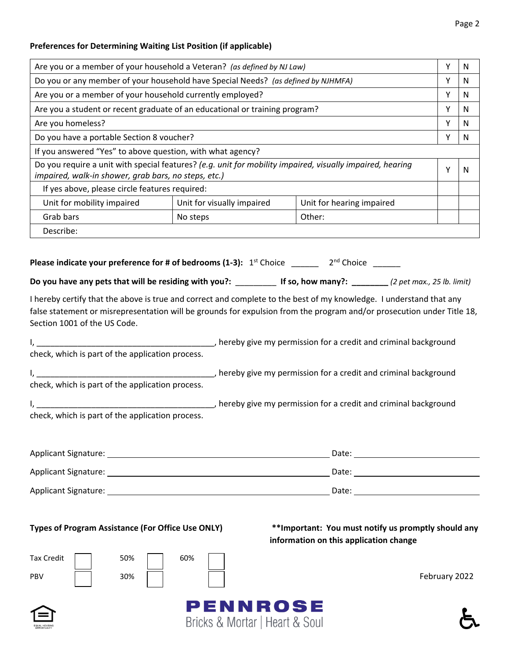## **Preferences for Determining Waiting List Position (if applicable)**

| Are you or a member of your household a Veteran? (as defined by NJ Law)                                                                                                                                                                                                                                                                                                                    |                                |                                                                                                |               | N |
|--------------------------------------------------------------------------------------------------------------------------------------------------------------------------------------------------------------------------------------------------------------------------------------------------------------------------------------------------------------------------------------------|--------------------------------|------------------------------------------------------------------------------------------------|---------------|---|
| Do you or any member of your household have Special Needs? (as defined by NJHMFA)                                                                                                                                                                                                                                                                                                          |                                |                                                                                                |               | N |
| Are you or a member of your household currently employed?                                                                                                                                                                                                                                                                                                                                  |                                |                                                                                                | Y             | N |
| Are you a student or recent graduate of an educational or training program?                                                                                                                                                                                                                                                                                                                |                                |                                                                                                | Y             | N |
| Are you homeless?                                                                                                                                                                                                                                                                                                                                                                          |                                |                                                                                                | Υ             | N |
| Do you have a portable Section 8 voucher?                                                                                                                                                                                                                                                                                                                                                  |                                |                                                                                                | Υ             | N |
| If you answered "Yes" to above question, with what agency?                                                                                                                                                                                                                                                                                                                                 |                                |                                                                                                |               |   |
| Do you require a unit with special features? (e.g. unit for mobility impaired, visually impaired, hearing<br>impaired, walk-in shower, grab bars, no steps, etc.)                                                                                                                                                                                                                          |                                |                                                                                                | Y             | N |
| If yes above, please circle features required:                                                                                                                                                                                                                                                                                                                                             |                                |                                                                                                |               |   |
| Unit for mobility impaired                                                                                                                                                                                                                                                                                                                                                                 | Unit for visually impaired     | Unit for hearing impaired                                                                      |               |   |
| Grab bars                                                                                                                                                                                                                                                                                                                                                                                  | No steps                       | Other:                                                                                         |               |   |
| Describe:                                                                                                                                                                                                                                                                                                                                                                                  |                                |                                                                                                |               |   |
| Do you have any pets that will be residing with you?: If so, how many?: _______(2 pet max., 25 lb. limit)<br>I hereby certify that the above is true and correct and complete to the best of my knowledge. I understand that any<br>false statement or misrepresentation will be grounds for expulsion from the program and/or prosecution under Title 18,<br>Section 1001 of the US Code. |                                |                                                                                                |               |   |
| check, which is part of the application process.                                                                                                                                                                                                                                                                                                                                           |                                |                                                                                                |               |   |
|                                                                                                                                                                                                                                                                                                                                                                                            |                                |                                                                                                |               |   |
| check, which is part of the application process.                                                                                                                                                                                                                                                                                                                                           |                                |                                                                                                |               |   |
|                                                                                                                                                                                                                                                                                                                                                                                            |                                |                                                                                                |               |   |
| check, which is part of the application process.                                                                                                                                                                                                                                                                                                                                           |                                |                                                                                                |               |   |
|                                                                                                                                                                                                                                                                                                                                                                                            |                                |                                                                                                |               |   |
|                                                                                                                                                                                                                                                                                                                                                                                            |                                |                                                                                                |               |   |
|                                                                                                                                                                                                                                                                                                                                                                                            |                                |                                                                                                |               |   |
| <b>Types of Program Assistance (For Office Use ONLY)</b><br><b>Tax Credit</b><br>50%<br><b>PBV</b><br>30%                                                                                                                                                                                                                                                                                  | 60%<br>PENNROSE                | ** Important: You must notify us promptly should any<br>information on this application change | February 2022 |   |
|                                                                                                                                                                                                                                                                                                                                                                                            | Bricks & Mortar   Heart & Soul |                                                                                                |               |   |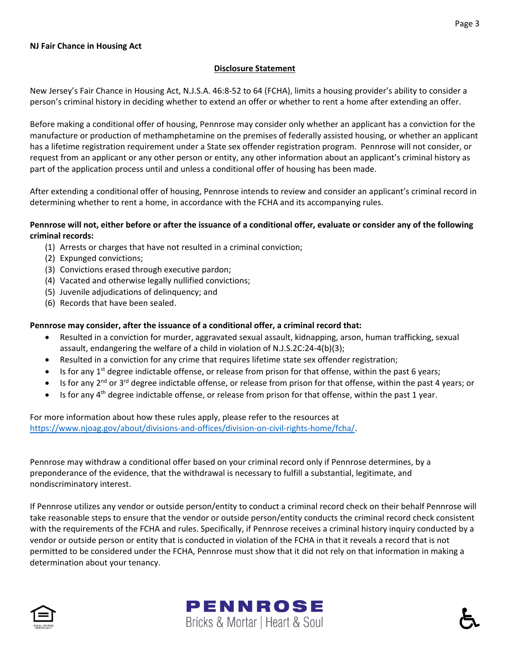#### **Disclosure Statement**

New Jersey's Fair Chance in Housing Act, N.J.S.A. 46:8-52 to 64 (FCHA), limits a housing provider's ability to consider a person's criminal history in deciding whether to extend an offer or whether to rent a home after extending an offer.

Before making a conditional offer of housing, Pennrose may consider only whether an applicant has a conviction for the manufacture or production of methamphetamine on the premises of federally assisted housing, or whether an applicant has a lifetime registration requirement under a State sex offender registration program. Pennrose will not consider, or request from an applicant or any other person or entity, any other information about an applicant's criminal history as part of the application process until and unless a conditional offer of housing has been made.

After extending a conditional offer of housing, Pennrose intends to review and consider an applicant's criminal record in determining whether to rent a home, in accordance with the FCHA and its accompanying rules.

#### **Pennrose will not, either before or after the issuance of a conditional offer, evaluate or consider any of the following criminal records:**

- (1) Arrests or charges that have not resulted in a criminal conviction;
- (2) Expunged convictions;
- (3) Convictions erased through executive pardon;
- (4) Vacated and otherwise legally nullified convictions;
- (5) Juvenile adjudications of delinquency; and
- (6) Records that have been sealed.

#### **Pennrose may consider, after the issuance of a conditional offer, a criminal record that:**

- Resulted in a conviction for murder, aggravated sexual assault, kidnapping, arson, human trafficking, sexual assault, endangering the welfare of a child in violation of N.J.S.2C:24-4(b)(3);
- Resulted in a conviction for any crime that requires lifetime state sex offender registration;
- $\bullet$  Is for any 1<sup>st</sup> degree indictable offense, or release from prison for that offense, within the past 6 years;
- Is for any 2<sup>nd</sup> or 3<sup>rd</sup> degree indictable offense, or release from prison for that offense, within the past 4 years; or
- Is for any 4<sup>th</sup> degree indictable offense, or release from prison for that offense, within the past 1 year.

For more information about how these rules apply, please refer to the resources at [https://www.njoag.gov/about/divisions-and-offices/division-on-civil-rights-home/fcha/.](https://www.njoag.gov/about/divisions-and-offices/division-on-civil-rights-home/fcha/)

Pennrose may withdraw a conditional offer based on your criminal record only if Pennrose determines, by a preponderance of the evidence, that the withdrawal is necessary to fulfill a substantial, legitimate, and nondiscriminatory interest.

If Pennrose utilizes any vendor or outside person/entity to conduct a criminal record check on their behalf Pennrose will take reasonable steps to ensure that the vendor or outside person/entity conducts the criminal record check consistent with the requirements of the FCHA and rules. Specifically, if Pennrose receives a criminal history inquiry conducted by a vendor or outside person or entity that is conducted in violation of the FCHA in that it reveals a record that is not permitted to be considered under the FCHA, Pennrose must show that it did not rely on that information in making a determination about your tenancy.